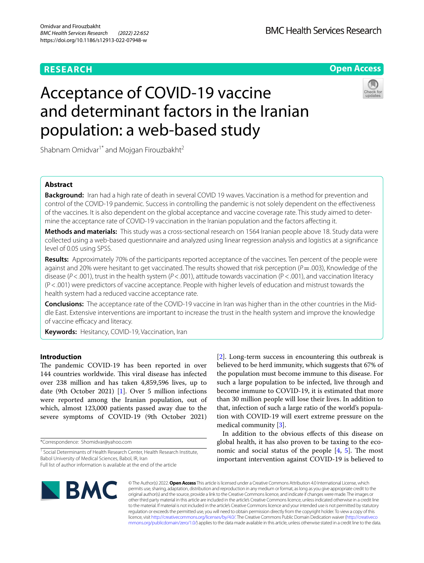## **RESEARCH**

**Open Access**

# Acceptance of COVID-19 vaccine and determinant factors in the Iranian population: a web-based study



Shabnam Omidvar<sup>1\*</sup> and Mojgan Firouzbakht<sup>2</sup>

## **Abstract**

**Background:** Iran had a high rate of death in several COVID 19 waves. Vaccination is a method for prevention and control of the COVID-19 pandemic. Success in controlling the pandemic is not solely dependent on the efectiveness of the vaccines. It is also dependent on the global acceptance and vaccine coverage rate. This study aimed to determine the acceptance rate of COVID-19 vaccination in the Iranian population and the factors afecting it.

**Methods and materials:** This study was a cross-sectional research on 1564 Iranian people above 18. Study data were collected using a web-based questionnaire and analyzed using linear regression analysis and logistics at a signifcance level of 0.05 using SPSS.

**Results:** Approximately 70% of the participants reported acceptance of the vaccines. Ten percent of the people were against and 20% were hesitant to get vaccinated. The results showed that risk perception (*P* = .003), Knowledge of the disease (*P*<.001), trust in the health system (*P*<.001), attitude towards vaccination (*P*<.001), and vaccination literacy (P<.001) were predictors of vaccine acceptance. People with higher levels of education and mistrust towards the health system had a reduced vaccine acceptance rate.

**Conclusions:** The acceptance rate of the COVID-19 vaccine in Iran was higher than in the other countries in the Middle East. Extensive interventions are important to increase the trust in the health system and improve the knowledge of vaccine efficacy and literacy.

**Keywords:** Hesitancy, COVID-19, Vaccination, Iran

## **Introduction**

The pandemic COVID-19 has been reported in over 144 countries worldwide. This viral disease has infected over 238 million and has taken 4,859,596 lives, up to date (9th October 2021) [[1\]](#page-6-0). Over 5 million infections were reported among the Iranian population, out of which, almost 123,000 patients passed away due to the severe symptoms of COVID-19 (9th October 2021)

\*Correspondence: Shomidvar@yahoo.com

Full list of author information is available at the end of the article

the population must become immune to this disease. For such a large population to be infected, live through and become immune to COVID-19, it is estimated that more than 30 million people will lose their lives. In addition to that, infection of such a large ratio of the world's population with COVID-19 will exert extreme pressure on the medical community [[3\]](#page-6-2). In addition to the obvious efects of this disease on

[[2\]](#page-6-1). Long-term success in encountering this outbreak is believed to be herd immunity, which suggests that 67% of

global health, it has also proven to be taxing to the economic and social status of the people  $[4, 5]$  $[4, 5]$  $[4, 5]$  $[4, 5]$ . The most important intervention against COVID-19 is believed to



© The Author(s) 2022. **Open Access** This article is licensed under a Creative Commons Attribution 4.0 International License, which permits use, sharing, adaptation, distribution and reproduction in any medium or format, as long as you give appropriate credit to the original author(s) and the source, provide a link to the Creative Commons licence, and indicate if changes were made. The images or other third party material in this article are included in the article's Creative Commons licence, unless indicated otherwise in a credit line to the material. If material is not included in the article's Creative Commons licence and your intended use is not permitted by statutory regulation or exceeds the permitted use, you will need to obtain permission directly from the copyright holder. To view a copy of this licence, visit [http://creativecommons.org/licenses/by/4.0/.](http://creativecommons.org/licenses/by/4.0/) The Creative Commons Public Domain Dedication waiver ([http://creativeco](http://creativecommons.org/publicdomain/zero/1.0/) [mmons.org/publicdomain/zero/1.0/](http://creativecommons.org/publicdomain/zero/1.0/)) applies to the data made available in this article, unless otherwise stated in a credit line to the data.

<sup>&</sup>lt;sup>1</sup> Social Determinants of Health Research Center, Health Research Institute, Babol University of Medical Sciences, Babol, IR, Iran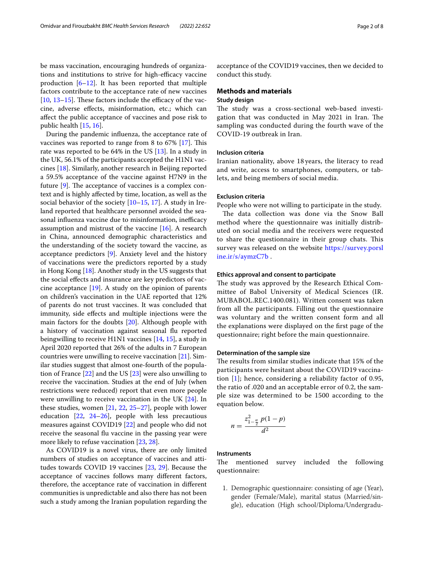be mass vaccination, encouraging hundreds of organizations and institutions to strive for high-efficacy vaccine production  $[6-12]$  $[6-12]$ . It has been reported that multiple factors contribute to the acceptance rate of new vaccines [ $10, 13-15$  $10, 13-15$  $10, 13-15$  $10, 13-15$ ]. These factors include the efficacy of the vaccine, adverse efects, misinformation, etc.; which can afect the public acceptance of vaccines and pose risk to public health [\[15](#page-6-9), [16\]](#page-6-10).

During the pandemic infuenza, the acceptance rate of vaccines was reported to range from 8 to 67% [[17\]](#page-6-11). This rate was reported to be 64% in the US [[13](#page-6-8)]. In a study in the UK, 56.1% of the participants accepted the H1N1 vaccines [\[18](#page-6-12)]. Similarly, another research in Beijing reported a 59.5% acceptance of the vaccine against H7N9 in the future  $[9]$ . The acceptance of vaccines is a complex context and is highly afected by time, location, as well as the social behavior of the society [[10–](#page-6-7)[15](#page-6-9), [17](#page-6-11)]. A study in Ireland reported that healthcare personnel avoided the seasonal influenza vaccine due to misinformation, inefficacy assumption and mistrust of the vaccine [\[16](#page-6-10)]. A research in China, announced demographic characteristics and the understanding of the society toward the vaccine, as acceptance predictors [\[9\]](#page-6-13). Anxiety level and the history of vaccinations were the predictors reported by a study in Hong Kong [\[18](#page-6-12)]. Another study in the US suggests that the social efects and insurance are key predictors of vaccine acceptance [[19\]](#page-6-14). A study on the opinion of parents on children's vaccination in the UAE reported that 12% of parents do not trust vaccines. It was concluded that immunity, side efects and multiple injections were the main factors for the doubts [[20\]](#page-6-15). Although people with a history of vaccination against seasonal fu reported beingwilling to receive H1N1 vaccines [[14,](#page-6-16) [15](#page-6-9)], a study in April 2020 reported that 26% of the adults in 7 European countries were unwilling to receive vaccination [[21](#page-6-17)]. Similar studies suggest that almost one-fourth of the population of France [\[22](#page-6-18)] and the US [[23](#page-7-0)] were also unwilling to receive the vaccination. Studies at the end of July (when restrictions were reduced) report that even more people were unwilling to receive vaccination in the UK [\[24](#page-7-1)]. In these studies, women [[21](#page-6-17), [22,](#page-6-18) [25–](#page-7-2)[27](#page-7-3)], people with lower education  $[22, 24-26]$  $[22, 24-26]$  $[22, 24-26]$  $[22, 24-26]$  $[22, 24-26]$ , people with less precautious measures against COVID19 [[22\]](#page-6-18) and people who did not receive the seasonal fu vaccine in the passing year were more likely to refuse vaccination [[23](#page-7-0), [28\]](#page-7-5).

As COVID19 is a novel virus, there are only limited numbers of studies on acceptance of vaccines and attitudes towards COVID 19 vaccines [\[23,](#page-7-0) [29](#page-7-6)]. Because the acceptance of vaccines follows many diferent factors, therefore, the acceptance rate of vaccination in diferent communities is unpredictable and also there has not been such a study among the Iranian population regarding the acceptance of the COVID19 vaccines, then we decided to conduct this study.

#### **Methods and materials**

## **Study design**

The study was a cross-sectional web-based investigation that was conducted in May 2021 in Iran. The sampling was conducted during the fourth wave of the COVID-19 outbreak in Iran.

## **Inclusion criteria**

Iranian nationality, above 18 years, the literacy to read and write, access to smartphones, computers, or tablets, and being members of social media.

## **Exclusion criteria**

People who were not willing to participate in the study.

The data collection was done via the Snow Ball method where the questionnaire was initially distributed on social media and the receivers were requested to share the questionnaire in their group chats. This survey was released on the website [https://survey.porsl](https://survey.porsline.ir/s/aymzC7b) [ine.ir/s/aymzC7b](https://survey.porsline.ir/s/aymzC7b) .

### **Ethics approval and consent to participate**

The study was approved by the Research Ethical Committee of Babol University of Medical Sciences (IR. MUBABOL.REC.1400.081). Written consent was taken from all the participants. Filling out the questionnaire was voluntary and the written consent form and all the explanations were displayed on the frst page of the questionnaire; right before the main questionnaire.

## **Determination of the sample size**

The results from similar studies indicate that 15% of the participants were hesitant about the COVID19 vaccination  $[1]$  $[1]$ ; hence, considering a reliability factor of 0.95, the ratio of .020 and an acceptable error of 0.2, the sample size was determined to be 1500 according to the equation below.

$$
n = \frac{z_{1-\frac{\alpha}{2}}^2 p(1-p)}{d^2}
$$

## **Instruments**

The mentioned survey included the following questionnaire:

1. Demographic questionnaire: consisting of age (Year), gender (Female/Male), marital status (Married/single), education (High school/Diploma/Undergradu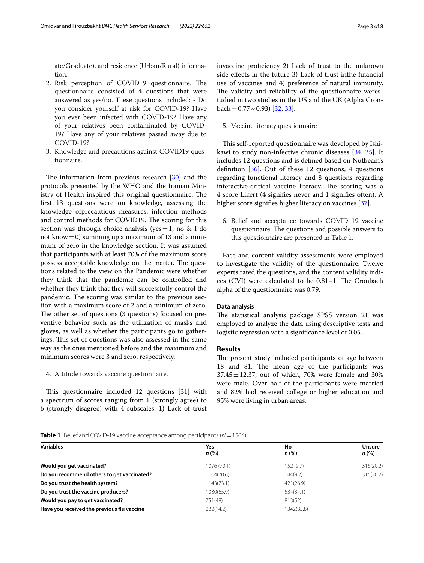ate/Graduate), and residence (Urban/Rural) information.

- 2. Risk perception of COVID19 questionnaire. The questionnaire consisted of 4 questions that were answered as yes/no. These questions included: - Do you consider yourself at risk for COVID-19? Have you ever been infected with COVID-19? Have any of your relatives been contaminated by COVID-19? Have any of your relatives passed away due to COVID-19?
- 3. Knowledge and precautions against COVID19 questionnaire.

The information from previous research  $[30]$  $[30]$  $[30]$  and the protocols presented by the WHO and the Iranian Ministry of Health inspired this original questionnaire. The frst 13 questions were on knowledge, assessing the knowledge ofprecautious measures, infection methods and control methods for COVID19. The scoring for this section was through choice analysis (yes = 1, no & I do not know  $= 0$ ) summing up a maximum of 13 and a minimum of zero in the knowledge section. It was assumed that participants with at least 70% of the maximum score possess acceptable knowledge on the matter. The questions related to the view on the Pandemic were whether they think that the pandemic can be controlled and whether they think that they will successfully control the pandemic. The scoring was similar to the previous section with a maximum score of 2 and a minimum of zero. The other set of questions (3 questions) focused on preventive behavior such as the utilization of masks and gloves, as well as whether the participants go to gatherings. This set of questions was also assessed in the same way as the ones mentioned before and the maximum and minimum scores were 3 and zero, respectively.

#### 4. Attitude towards vaccine questionnaire.

This questionnaire included 12 questions  $[31]$  $[31]$  with a spectrum of scores ranging from 1 (strongly agree) to 6 (strongly disagree) with 4 subscales: 1) Lack of trust invaccine proficiency 2) Lack of trust to the unknown side efects in the future 3) Lack of trust inthe fnancial use of vaccines and 4) preference of natural immunity. The validity and reliability of the questionnaire werestudied in two studies in the US and the UK (Alpha Cronbach =  $0.77 \sim 0.93$  [[32](#page-7-9), [33\]](#page-7-10).

## 5. Vaccine literacy questionnaire

This self-reported questionnaire was developed by Ishikawi to study non-infective chronic diseases [[34,](#page-7-11) [35](#page-7-12)]. It includes 12 questions and is defned based on Nutbeam's definition  $[36]$  $[36]$ . Out of these 12 questions, 4 questions regarding functional literacy and 8 questions regarding interactive-critical vaccine literacy. The scoring was a 4 score Likert (4 signifes never and 1 signifes often). A higher score signifies higher literacy on vaccines [[37](#page-7-14)].

6. Belief and acceptance towards COVID 19 vaccine questionnaire. The questions and possible answers to this questionnaire are presented in Table [1.](#page-2-0)

Face and content validity assessments were employed to investigate the validity of the questionnaire. Twelve experts rated the questions, and the content validity indi $ces (CVI)$  were calculated to be  $0.81-1$ . The Cronbach alpha of the questionnaire was 0.79.

#### **Data analysis**

The statistical analysis package SPSS version 21 was employed to analyze the data using descriptive tests and logistic regression with a signifcance level of 0.05.

## **Results**

The present study included participants of age between 18 and 81. The mean age of the participants was  $37.45 \pm 12.37$ , out of which, 70% were female and 30% were male. Over half of the participants were married and 82% had received college or higher education and 95% were living in urban areas.

#### <span id="page-2-0"></span>**Table 1** Belief and COVID-19 vaccine acceptance among participants ( $N = 1564$ )

| <b>Variables</b>                           | Yes         | No         | <b>Unsure</b> |
|--------------------------------------------|-------------|------------|---------------|
|                                            | n(%)        | n(%)       | n(%)          |
| Would you get vaccinated?                  | 1096 (70.1) | 152 (9.7)  | 316(20.2)     |
| Do you recommend others to get vaccinated? | 1104(70.6)  | 144(9.2)   | 316(20.2)     |
| Do you trust the health system?            | 1143(73.1)  | 421(26.9)  |               |
| Do you trust the vaccine producers?        | 1030(65.9)  | 534(34.1)  |               |
| Would you pay to get vaccinated?           | 751(48)     | 813(52)    |               |
| Have you received the previous flu vaccine | 222(14.2)   | 1342(85.8) |               |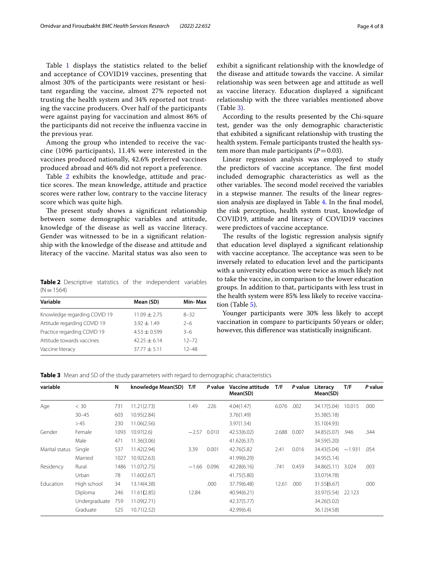Table [1](#page-2-0) displays the statistics related to the belief and acceptance of COVID19 vaccines, presenting that almost 30% of the participants were resistant or hesitant regarding the vaccine, almost 27% reported not trusting the health system and 34% reported not trusting the vaccine producers. Over half of the participants were against paying for vaccination and almost 86% of the participants did not receive the infuenza vaccine in the previous year.

Among the group who intended to receive the vaccine (1096 participants), 11.4% were interested in the vaccines produced nationally, 42.6% preferred vaccines produced abroad and 46% did not report a preference.

Table [2](#page-3-0) exhibits the knowledge, attitude and practice scores. The mean knowledge, attitude and practice scores were rather low, contrary to the vaccine literacy score which was quite high.

The present study shows a significant relationship between some demographic variables and attitude, knowledge of the disease as well as vaccine literacy. Gender was witnessed to be in a signifcant relationship with the knowledge of the disease and attitude and literacy of the vaccine. Marital status was also seen to

<span id="page-3-0"></span>**Table 2** Descriptive statistics of the independent variables  $(N=1564)$ 

| Mean (SD)        | Min-Max   |
|------------------|-----------|
| $11.09 + 2.75$   | $8 - 32$  |
| $3.92 + 1.49$    | $2-6$     |
| $4.53 \pm 0.599$ | $3 - 6$   |
| $42.25 + 6.14$   | $12 - 72$ |
| $37.77 + 5.11$   | $12 - 48$ |
|                  |           |

exhibit a signifcant relationship with the knowledge of the disease and attitude towards the vaccine. A similar relationship was seen between age and attitude as well as vaccine literacy. Education displayed a signifcant relationship with the three variables mentioned above (Table [3\)](#page-3-1).

According to the results presented by the Chi-square test, gender was the only demographic characteristic that exhibited a signifcant relationship with trusting the health system. Female participants trusted the health system more than male participants  $(P=0.03)$ .

Linear regression analysis was employed to study the predictors of vaccine acceptance. The first model included demographic characteristics as well as the other variables. The second model received the variables in a stepwise manner. The results of the linear regression analysis are displayed in Table [4](#page-4-0). In the fnal model, the risk perception, health system trust, knowledge of COVID19, attitude and literacy of COVID19 vaccines were predictors of vaccine acceptance.

The results of the logistic regression analysis signify that education level displayed a signifcant relationship with vaccine acceptance. The acceptance was seen to be inversely related to education level and the participants with a university education were twice as much likely not to take the vaccine, in comparison to the lower education groups. In addition to that, participants with less trust in the health system were 85% less likely to receive vaccination (Table [5](#page-4-1)).

Younger participants were 30% less likely to accept vaccination in compare to participants 50 years or older; however, this diference was statistically insignifcant.

<span id="page-3-1"></span>**Table 3** Mean and SD of the study parameters with regard to demographic characteristics

| variable       |               | N    | knowledge Mean(SD) | T/F     | P value | Vaccine attitude<br>Mean(SD) | T/F   | P value | Literacy<br>Mean(SD) | T/F      | P value |
|----------------|---------------|------|--------------------|---------|---------|------------------------------|-------|---------|----------------------|----------|---------|
| Age            | < 30          | 731  | 11.21(2.73)        | 1.49    | .226    | 4.04(1.47)                   | 6.076 | .002    | 34.17(5.04)          | 10.015   | .000    |
|                | $30 - 45$     | 603  | 10.95(2.84)        |         |         | 3.76(1.49)                   |       |         | 35.38(5.18)          |          |         |
|                | >45           | 230  | 11.06(2.56)        |         |         | 3.97(1.54)                   |       |         | 35.10(4.93)          |          |         |
| Gender         | Female        | 1093 | 10.97(2.6)         | $-2.57$ | 0.010   | 42.53(6.02)                  | 2.688 | 0.007   | 34.85(5.07)          | .946     | .344    |
|                | Male          | 471  | 11.36(3.06)        |         |         | 41.62(6.37)                  |       |         | 34.59(5.20)          |          |         |
| Marital status | Single        | 537  | 11.42(2.94)        | 3.39    | 0.001   | 42.76(5.82                   | 2.41  | 0.016   | 34.43(5.04)          | $-1.931$ | .054    |
|                | Married       | 1027 | 10.92(2.63)        |         |         | 41.99(6.29)                  |       |         | 34.95(5.14)          |          |         |
| Residency      | Rural         | 1486 | 11.07(2.75)        | $-1.66$ | 0.096   | 42.28(6.16)                  | .741  | 0.459   | 34.86(5.11)          | 3.024    | .003    |
|                | Urban         | 78   | 11.60(2.67)        |         |         | 41.75(5.80)                  |       |         | 33.07(4.78)          |          |         |
| Education      | High school   | 34   | 13.14(4.38)        |         | .000    | 37.79(6.48)                  | 12.61 | .000    | 31.55(6.67)          |          | .000    |
|                | Diploma       | 246  | 11.61(2.85)        | 12.84   |         | 40.94(6.21)                  |       |         | 33.97(5.54) 22.123   |          |         |
|                | Undergraduate | 759  | 11.09(2.71)        |         |         | 42.37(5.77)                  |       |         | 34.26(5.02)          |          |         |
|                | Graduate      | 525  | 10.71(2.52)        |         |         | 42.99(6.4)                   |       |         | 36.12(4.58)          |          |         |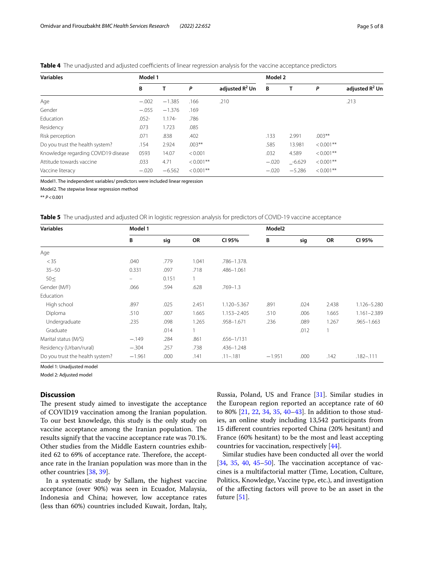<span id="page-4-0"></span>

|  |  |  | <b>Table 4</b> The unadiusted and adiusted coefficients of linear regression analysis for the vaccine acceptance predictors |  |
|--|--|--|-----------------------------------------------------------------------------------------------------------------------------|--|
|  |  |  |                                                                                                                             |  |
|  |  |  |                                                                                                                             |  |
|  |  |  |                                                                                                                             |  |

| <b>Variables</b>                    | Model 1  |          |              |                            | Model 2 |          |              |                   |
|-------------------------------------|----------|----------|--------------|----------------------------|---------|----------|--------------|-------------------|
|                                     | В        | т        | P            | adjusted R <sup>2</sup> Un | B       |          | P            | adjusted $R^2$ Un |
| Age                                 | $-.002$  | $-1.385$ | .166         | .210                       |         |          |              | .213              |
| Gender                              | $-.055$  | $-1.376$ | .169         |                            |         |          |              |                   |
| Education                           | $.052 -$ | $1.174-$ | .786         |                            |         |          |              |                   |
| Residency                           | .073     | 1.723    | .085         |                            |         |          |              |                   |
| Risk perception                     | .071     | .838     | .402         |                            | .133    | 2.991    | $.003**$     |                   |
| Do you trust the health system?     | .154     | 2.924    | $.003***$    |                            | .585    | 13.981   | $< 0.001$ ** |                   |
| Knowledge regarding COVID19 disease | 0593     | 14.07    | < 0.001      |                            | .032    | 4.589    | $< 0.001$ ** |                   |
| Attitude towards vaccine            | .033     | 4.71     | $< 0.001$ ** |                            | $-.020$ | $-6.629$ | $< 0.001$ ** |                   |
| Vaccine literacy                    | $-.020$  | $-6.562$ | $< 0.001$ ** |                            | $-.020$ | $-5.286$ | $< 0.001$ ** |                   |

Model1. The independent variables/ predictors were included linear regression

Model2. The stepwise linear regression method

\*\* *P*<0.001

<span id="page-4-1"></span>**Table 5** The unadjusted and adjusted OR in logistic regression analysis for predictors of COVID-19 vaccine acceptance

| <b>Variables</b>                | Model 1  |       |       |                | Model <sub>2</sub> |      |       |                |
|---------------------------------|----------|-------|-------|----------------|--------------------|------|-------|----------------|
|                                 | B        | sig   | OR    | CI 95%         | В                  | sig  | OR    | CI 95%         |
| Age                             |          |       |       |                |                    |      |       |                |
| < 35                            | .040     | .779  | 1.041 | .786-1.378.    |                    |      |       |                |
| $35 - 50$                       | 0.331    | .097  | .718  | .486-1.061     |                    |      |       |                |
| $50 \leq$                       | —        | 0.151 |       |                |                    |      |       |                |
| Gender (M/F)                    | .066     | .594  | .628  | $.769 - 1.3$   |                    |      |       |                |
| Education                       |          |       |       |                |                    |      |       |                |
| High school                     | .897     | .025  | 2.451 | 1.120-5.367    | .891               | .024 | 2.438 | 1.126-5.280    |
| Diploma                         | .510     | .007  | 1.665 | 1.153-2.405    | .510               | .006 | 1.665 | 1.161-2.389    |
| Undergraduate                   | .235     | .098  | 1.265 | .958-1.671     | .236               | .089 | 1.267 | $.965 - 1.663$ |
| Graduate                        |          | .014  |       |                |                    | .012 |       |                |
| Marital status (M/S)            | $-.149$  | .284  | .861  | $.656 - 1/131$ |                    |      |       |                |
| Residency (Urban/rural)         | $-.304$  | .257  | .738  | .436-1.248     |                    |      |       |                |
| Do you trust the health system? | $-1.961$ | .000  | .141  | $.11 - .181$   | $-1.951$           | .000 | .142  | $.182 - .111$  |

Model 1: Unadjusted model

Model 2: Adjusted model

## **Discussion**

The present study aimed to investigate the acceptance of COVID19 vaccination among the Iranian population. To our best knowledge, this study is the only study on vaccine acceptance among the Iranian population. The results signify that the vaccine acceptance rate was 70.1%. Other studies from the Middle Eastern countries exhibited 62 to 69% of acceptance rate. Therefore, the acceptance rate in the Iranian population was more than in the other countries [[38,](#page-7-15) [39\]](#page-7-16).

In a systematic study by Sallam, the highest vaccine acceptance (over 90%) was seen in Ecuador, Malaysia, Indonesia and China; however, low acceptance rates (less than 60%) countries included Kuwait, Jordan, Italy, Russia, Poland, US and France [\[31\]](#page-7-8). Similar studies in the European region reported an acceptance rate of 60 to 80% [[21,](#page-6-17) [22,](#page-6-18) [34](#page-7-11), [35](#page-7-12), [40](#page-7-17)[–43](#page-7-18)]. In addition to those studies, an online study including 13,542 participants from 15 diferent countries reported China (20% hesitant) and France (60% hesitant) to be the most and least accepting countries for vaccination, respectively [[44](#page-7-19)].

Similar studies have been conducted all over the world  $[34, 35, 40, 45-50]$  $[34, 35, 40, 45-50]$  $[34, 35, 40, 45-50]$  $[34, 35, 40, 45-50]$  $[34, 35, 40, 45-50]$  $[34, 35, 40, 45-50]$  $[34, 35, 40, 45-50]$  $[34, 35, 40, 45-50]$  $[34, 35, 40, 45-50]$ . The vaccination acceptance of vaccines is a multifactorial matter (Time, Location, Culture, Politics, Knowledge, Vaccine type, etc.), and investigation of the afecting factors will prove to be an asset in the future [\[51](#page-7-22)].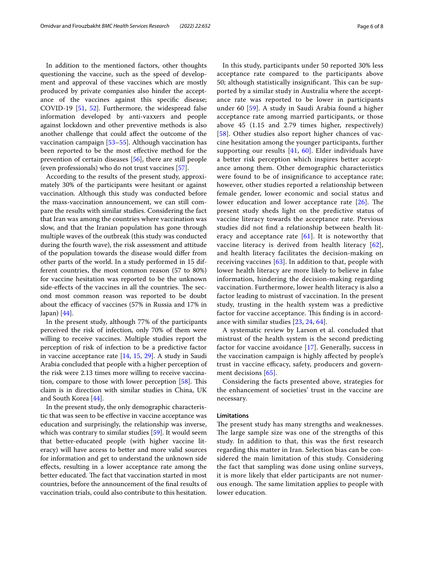In addition to the mentioned factors, other thoughts questioning the vaccine, such as the speed of development and approval of these vaccines which are mostly produced by private companies also hinder the acceptance of the vaccines against this specifc disease; COVID-19 [\[51](#page-7-22), [52\]](#page-7-23). Furthermore, the widespread false information developed by anti-vaxxers and people against lockdown and other preventive methods is also another challenge that could afect the outcome of the vaccination campaign [\[53–](#page-7-24)[55\]](#page-7-25). Although vaccination has been reported to be the most efective method for the prevention of certain diseases [[56\]](#page-7-26), there are still people (even professionals) who do not trust vaccines [\[57](#page-7-27)].

According to the results of the present study, approximately 30% of the participants were hesitant or against vaccination. Although this study was conducted before the mass-vaccination announcement, we can still compare the results with similar studies. Considering the fact that Iran was among the countries where vaccination was slow, and that the Iranian population has gone through multiple waves of the outbreak (this study was conducted during the fourth wave), the risk assessment and attitude of the population towards the disease would difer from other parts of the world. In a study performed in 15 different countries, the most common reason (57 to 80%) for vaccine hesitation was reported to be the unknown side-effects of the vaccines in all the countries. The second most common reason was reported to be doubt about the efficacy of vaccines (57% in Russia and 17% in Japan) [[44\]](#page-7-19).

In the present study, although 77% of the participants perceived the risk of infection, only 70% of them were willing to receive vaccines. Multiple studies report the perception of risk of infection to be a predictive factor in vaccine acceptance rate [\[14,](#page-6-16) [15](#page-6-9), [29](#page-7-6)]. A study in Saudi Arabia concluded that people with a higher perception of the risk were 2.13 times more willing to receive vaccination, compare to those with lower perception  $[58]$  $[58]$ . This claim is in direction with similar studies in China, UK and South Korea [[44](#page-7-19)].

In the present study, the only demographic characteristic that was seen to be efective in vaccine acceptance was education and surprisingly, the relationship was inverse, which was contrary to similar studies [\[59\]](#page-7-29). It would seem that better-educated people (with higher vaccine literacy) will have access to better and more valid sources for information and get to understand the unknown side efects, resulting in a lower acceptance rate among the better educated. The fact that vaccination started in most countries, before the announcement of the fnal results of vaccination trials, could also contribute to this hesitation.

In this study, participants under 50 reported 30% less acceptance rate compared to the participants above 50; although statistically insignificant. This can be supported by a similar study in Australia where the acceptance rate was reported to be lower in participants under 60 [[59\]](#page-7-29). A study in Saudi Arabia found a higher acceptance rate among married participants, or those above 45 (1.15 and 2.79 times higher, respectively) [[58](#page-7-28)]. Other studies also report higher chances of vaccine hesitation among the younger participants, further supporting our results  $[41, 60]$  $[41, 60]$  $[41, 60]$  $[41, 60]$  $[41, 60]$ . Elder individuals have a better risk perception which inspires better acceptance among them. Other demographic characteristics were found to be of insignifcance to acceptance rate; however, other studies reported a relationship between female gender, lower economic and social status and lower education and lower acceptance rate  $[26]$  $[26]$ . The present study sheds light on the predictive status of vaccine literacy towards the acceptance rate. Previous studies did not fnd a relationship between health literacy and acceptance rate  $[61]$ . It is noteworthy that vaccine literacy is derived from health literacy [[62](#page-7-33)], and health literacy facilitates the decision-making on receiving vaccines  $[63]$  $[63]$ . In addition to that, people with lower health literacy are more likely to believe in false information, hindering the decision-making regarding vaccination. Furthermore, lower health literacy is also a factor leading to mistrust of vaccination. In the present study, trusting in the health system was a predictive factor for vaccine acceptance. This finding is in accordance with similar studies [\[23,](#page-7-0) [24,](#page-7-1) [64](#page-7-35)].

A systematic review by Larson et al. concluded that mistrust of the health system is the second predicting factor for vaccine avoidance [\[17](#page-6-11)]. Generally, success in the vaccination campaign is highly afected by people's trust in vaccine efficacy, safety, producers and government decisions [[65](#page-7-36)].

Considering the facts presented above, strategies for the enhancement of societies' trust in the vaccine are necessary.

#### **Limitations**

The present study has many strengths and weaknesses. The large sample size was one of the strengths of this study. In addition to that, this was the frst research regarding this matter in Iran. Selection bias can be considered the main limitation of this study. Considering the fact that sampling was done using online surveys, it is more likely that elder participants are not numerous enough. The same limitation applies to people with lower education.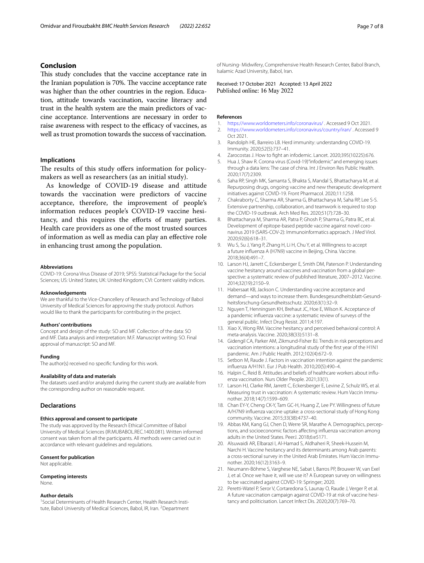## **Conclusion**

This study concludes that the vaccine acceptance rate in the Iranian population is 70%. The vaccine acceptance rate was higher than the other countries in the region. Education, attitude towards vaccination, vaccine literacy and trust in the health system are the main predictors of vaccine acceptance. Interventions are necessary in order to raise awareness with respect to the efficacy of vaccines, as well as trust promotion towards the success of vaccination.

## **Implications**

The results of this study offers information for policymakers as well as researchers (as an initial study).

As knowledge of COVID-19 disease and attitude towards the vaccination were predictors of vaccine acceptance, therefore, the improvement of people's information reduces people's COVID-19 vaccine hesitancy, and this requires the eforts of many parties. Health care providers as one of the most trusted sources of information as well as media can play an efective role in enhancing trust among the population.

#### **Abbreviations**

COVID-19: Corona Virus Disease of 2019; SPSS: Statistical Package for the Social Sciences; US: United States; UK: United Kingdom; CVI: Content validity indices.

#### **Acknowledgements**

We are thankful to the Vice-Chancellery of Research and Technology of Babol University of Medical Sciences for approving the study protocol. Authors would like to thank the participants for contributing in the project.

#### **Authors' contributions**

Concept and design of the study: SO and MF. Collection of the data: SO and MF. Data analysis and interpretation: M.F. Manuscript writing: SO. Final approval of manuscript: SO and MF.

#### **Funding**

The author(s) received no specifc funding for this work.

## **Availability of data and materials**

The datasets used and/or analyzed during the current study are available from the corresponding author on reasonable request.

#### **Declarations**

#### **Ethics approval and consent to participate**

The study was approved by the Research Ethical Committee of Babol University of Medical Sciences (IR.MUBABOL.REC.1400.081). Written informed consent was taken from all the participants. All methods were carried out in accordance with relevant guidelines and regulations.

#### **Consent for publication**

Not applicable.

#### **Competing interests**

None.

#### **Author details**

<sup>1</sup> Social Determinants of Health Research Center, Health Research Institute, Babol University of Medical Sciences, Babol, IR, Iran. <sup>2</sup>Department of Nursing- Midwifery, Comprehensive Health Research Center, Babol Branch, Isalamic Azad University, Babol, Iran.

Received: 17 October 2021 Accepted: 13 April 2022

#### **References**

- <span id="page-6-0"></span>1. <https://www.worldometers.info/coronavirus/>. Accessed 9 Oct 2021.
- <span id="page-6-1"></span>2. <https://www.worldometers.info/coronavirus/country/iran/>. Accessed 9 Oct 2021.
- <span id="page-6-2"></span>3. Randolph HE, Barreiro LB. Herd immunity: understanding COVID-19. Immunity. 2020;52(5):737–41.
- <span id="page-6-3"></span>4. Zarocostas J. How to fght an infodemic. Lancet. 2020;395(10225):676.
- <span id="page-6-4"></span>5. Hua J, Shaw R. Corona virus (Covid-19)"infodemic" and emerging issues through a data lens: The case of china. Int J Environ Res Public Health. 2020;17(7):2309.
- <span id="page-6-5"></span>6. Saha RP, Singh MK, Samanta S, Bhakta S, Mandal S, Bhattacharya M, et al. Repurposing drugs, ongoing vaccine and new therapeutic development initiatives against COVID-19. Front Pharmacol. 2020;11:1258.
- 7. Chakraborty C, Sharma AR, Sharma G, Bhattacharya M, Saha RP, Lee S-S. Extensive partnership, collaboration, and teamwork is required to stop the COVID-19 outbreak. Arch Med Res. 2020;51(7):728–30.
- 8. Bhattacharya M, Sharma AR, Patra P, Ghosh P, Sharma G, Patra BC, et al. Development of epitope-based peptide vaccine against novel coronavirus 2019 (SARS-COV-2): Immunoinformatics approach. J Med Virol. 2020;92(6):618–31.
- <span id="page-6-13"></span>9. Wu S, Su J, Yang P, Zhang H, Li H, Chu Y, et al. Willingness to accept a future infuenza A (H7N9) vaccine in Beijing, China. Vaccine. 2018;36(4):491–7.
- <span id="page-6-7"></span>10. Larson HJ, Jarrett C, Eckersberger E, Smith DM, Paterson P. Understanding vaccine hesitancy around vaccines and vaccination from a global perspective: a systematic review of published literature, 2007–2012. Vaccine. 2014;32(19):2150–9.
- 11. Habersaat KB, Jackson C. Understanding vaccine acceptance and demand—and ways to increase them. Bundesgesundheitsblatt-Gesundheitsforschung-Gesundheitsschutz. 2020;63(1):32–9.
- <span id="page-6-6"></span>12. Nguyen T, Henningsen KH, Brehaut JC, Hoe E, Wilson K. Acceptance of a pandemic infuenza vaccine: a systematic review of surveys of the general public. Infect Drug Resist. 2011;4:197.
- <span id="page-6-8"></span>13. Xiao X, Wong RM. Vaccine hesitancy and perceived behavioral control: A meta-analysis. Vaccine. 2020;38(33):5131–8.
- <span id="page-6-16"></span>14. Gidengil CA, Parker AM, Zikmund-Fisher BJ. Trends in risk perceptions and vaccination intentions: a longitudinal study of the frst year of the H1N1 pandemic. Am J Public Health. 2012;102(4):672–9.
- <span id="page-6-9"></span>15. Setbon M, Raude J. Factors in vaccination intention against the pandemic infuenza A/H1N1. Eur J Pub Health. 2010;20(5):490–4.
- <span id="page-6-10"></span>16. Halpin C, Reid B. Attitudes and beliefs of healthcare workers about infuenza vaccination. Nurs Older People. 2021;33(1).
- <span id="page-6-11"></span>17. Larson HJ, Clarke RM, Jarrett C, Eckersberger E, Levine Z, Schulz WS, et al. Measuring trust in vaccination: A systematic review. Hum Vaccin Immunother. 2018;14(7):1599–609.
- <span id="page-6-12"></span>18. Chan EY-Y, Cheng CK-Y, Tam GC-H, Huang Z, Lee PY. Willingness of future A/H7N9 infuenza vaccine uptake: a cross-sectional study of Hong Kong community. Vaccine. 2015;33(38):4737–40.
- <span id="page-6-14"></span>19. Abbas KM, Kang GJ, Chen D, Werre SR, Marathe A. Demographics, perceptions, and socioeconomic factors afecting infuenza vaccination among adults in the United States. PeerJ. 2018;6:e5171.
- <span id="page-6-15"></span>20. Alsuwaidi AR, Elbarazi I, Al-Hamad S, Aldhaheri R, Sheek-Hussein M, Narchi H. Vaccine hesitancy and its determinants among Arab parents: a cross-sectional survey in the United Arab Emirates. Hum Vaccin Immunother. 2020;16(12):3163–9.
- <span id="page-6-17"></span>21. Neumann-Böhme S, Varghese NE, Sabat I, Barros PP, Brouwer W, van Exel J, et al. Once we have it, will we use it? A European survey on willingness to be vaccinated against COVID-19: Springer; 2020.
- <span id="page-6-18"></span>22. Peretti-Watel P, Seror V, Cortaredona S, Launay O, Raude J, Verger P, et al. A future vaccination campaign against COVID-19 at risk of vaccine hesitancy and politicisation. Lancet Infect Dis. 2020;20(7):769–70.